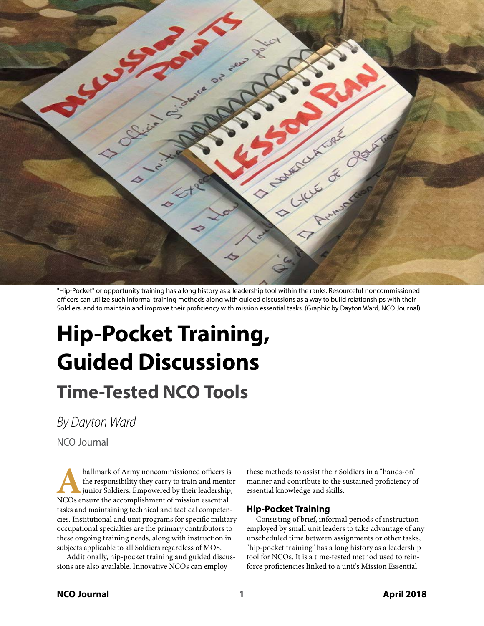

"Hip-Pocket" or opportunity training has a long history as a leadership tool within the ranks. Resourceful noncommissioned officers can utilize such informal training methods along with guided discussions as a way to build relationships with their Soldiers, and to maintain and improve their proficiency with mission essential tasks. (Graphic by Dayton Ward, NCO Journal)

# **Hip-Pocket Training, Guided Discussions Time-Tested NCO Tools**

*By Dayton Ward*

NCO Journal

hallmark of Army noncommissioned officers is<br>the responsibility they carry to train and mento<br>junior Soldiers. Empowered by their leadership,<br>NCOs ensure the accomplishment of mission essential the responsibility they carry to train and mentor junior Soldiers. Empowered by their leadership, NCOs ensure the accomplishment of mission essential tasks and maintaining technical and tactical competencies. Institutional and unit programs for specific military occupational specialties are the primary contributors to these ongoing training needs, along with instruction in subjects applicable to all Soldiers regardless of MOS.

Additionally, hip-pocket training and guided discussions are also available. Innovative NCOs can employ

these methods to assist their Soldiers in a "hands-on" manner and contribute to the sustained proficiency of essential knowledge and skills.

## **Hip-Pocket Training**

Consisting of brief, informal periods of instruction employed by small unit leaders to take advantage of any unscheduled time between assignments or other tasks, "hip-pocket training" has a long history as a leadership tool for NCOs. It is a time-tested method used to reinforce proficiencies linked to a unit's Mission Essential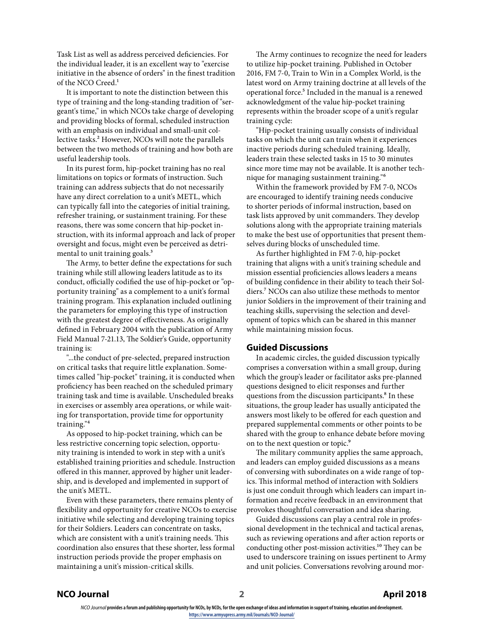Task List as well as address perceived deficiencies. For the individual leader, it is an excellent way to "exercise initiative in the absence of orders" in the finest tradition of the NCO Creed.<sup>1</sup>

It is important to note the distinction between this type of training and the long-standing tradition of "sergeant's time," in which NCOs take charge of developing and providing blocks of formal, scheduled instruction with an emphasis on individual and small-unit collective tasks.<sup>2</sup> However, NCOs will note the parallels between the two methods of training and how both are useful leadership tools.

In its purest form, hip-pocket training has no real limitations on topics or formats of instruction. Such training can address subjects that do not necessarily have any direct correlation to a unit's METL, which can typically fall into the categories of initial training, refresher training, or sustainment training. For these reasons, there was some concern that hip-pocket instruction, with its informal approach and lack of proper oversight and focus, might even be perceived as detrimental to unit training goals.<sup>3</sup>

The Army, to better define the expectations for such training while still allowing leaders latitude as to its conduct, officially codified the use of hip-pocket or "opportunity training" as a complement to a unit's formal training program. This explanation included outlining the parameters for employing this type of instruction with the greatest degree of effectiveness. As originally defined in February 2004 with the publication of Army Field Manual 7-21.13, The Soldier's Guide, opportunity training is:

"...the conduct of pre-selected, prepared instruction on critical tasks that require little explanation. Sometimes called "hip-pocket" training, it is conducted when proficiency has been reached on the scheduled primary training task and time is available. Unscheduled breaks in exercises or assembly area operations, or while waiting for transportation, provide time for opportunity training."4

As opposed to hip-pocket training, which can be less restrictive concerning topic selection, opportunity training is intended to work in step with a unit's established training priorities and schedule. Instruction offered in this manner, approved by higher unit leadership, and is developed and implemented in support of the unit's METL.

Even with these parameters, there remains plenty of flexibility and opportunity for creative NCOs to exercise initiative while selecting and developing training topics for their Soldiers. Leaders can concentrate on tasks, which are consistent with a unit's training needs. This coordination also ensures that these shorter, less formal instruction periods provide the proper emphasis on maintaining a unit's mission-critical skills.

The Army continues to recognize the need for leaders to utilize hip-pocket training. Published in October 2016, FM 7-0, Train to Win in a Complex World, is the latest word on Army training doctrine at all levels of the operational force.<sup>5</sup> Included in the manual is a renewed acknowledgment of the value hip-pocket training represents within the broader scope of a unit's regular training cycle:

"Hip-pocket training usually consists of individual tasks on which the unit can train when it experiences inactive periods during scheduled training. Ideally, leaders train these selected tasks in 15 to 30 minutes since more time may not be available. It is another technique for managing sustainment training."6

Within the framework provided by FM 7-0, NCOs are encouraged to identify training needs conducive to shorter periods of informal instruction, based on task lists approved by unit commanders. They develop solutions along with the appropriate training materials to make the best use of opportunities that present themselves during blocks of unscheduled time.

As further highlighted in FM 7-0, hip-pocket training that aligns with a unit's training schedule and mission essential proficiencies allows leaders a means of building confidence in their ability to teach their Soldiers.7 NCOs can also utilize these methods to mentor junior Soldiers in the improvement of their training and teaching skills, supervising the selection and development of topics which can be shared in this manner while maintaining mission focus.

## **Guided Discussions**

In academic circles, the guided discussion typically comprises a conversation within a small group, during which the group's leader or facilitator asks pre-planned questions designed to elicit responses and further questions from the discussion participants.<sup>8</sup> In these situations, the group leader has usually anticipated the answers most likely to be offered for each question and prepared supplemental comments or other points to be shared with the group to enhance debate before moving on to the next question or topic.<sup>9</sup>

The military community applies the same approach, and leaders can employ guided discussions as a means of conversing with subordinates on a wide range of topics. This informal method of interaction with Soldiers is just one conduit through which leaders can impart information and receive feedback in an environment that provokes thoughtful conversation and idea sharing.

Guided discussions can play a central role in professional development in the technical and tactical arenas, such as reviewing operations and after action reports or conducting other post-mission activities.<sup>10</sup> They can be used to underscore training on issues pertinent to Army and unit policies. Conversations revolving around mor